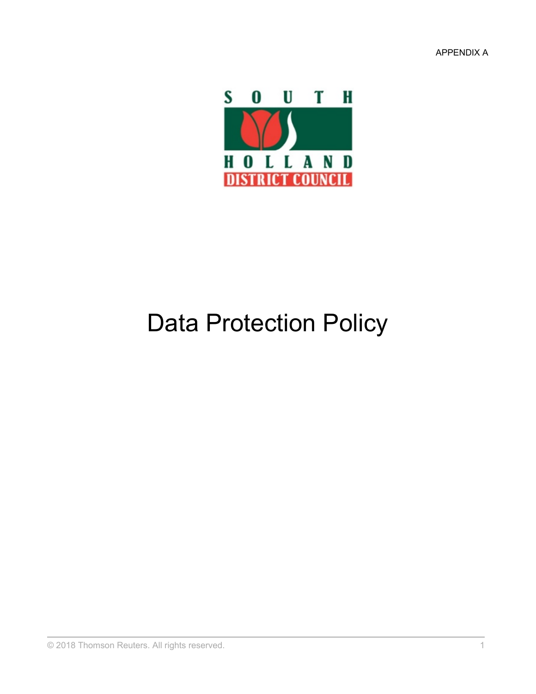APPENDIX A



# Data Protection Policy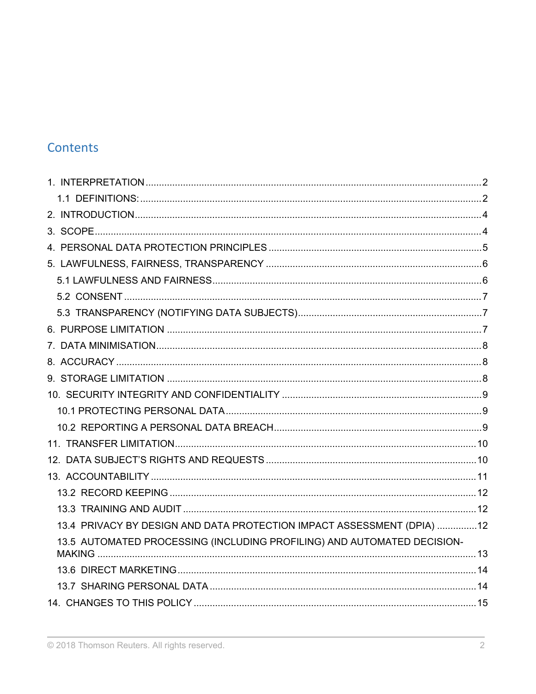# Contents

| 13.4 PRIVACY BY DESIGN AND DATA PROTECTION IMPACT ASSESSMENT (DPIA) 12  |  |
|-------------------------------------------------------------------------|--|
| 13.5 AUTOMATED PROCESSING (INCLUDING PROFILING) AND AUTOMATED DECISION- |  |
|                                                                         |  |
|                                                                         |  |
|                                                                         |  |
|                                                                         |  |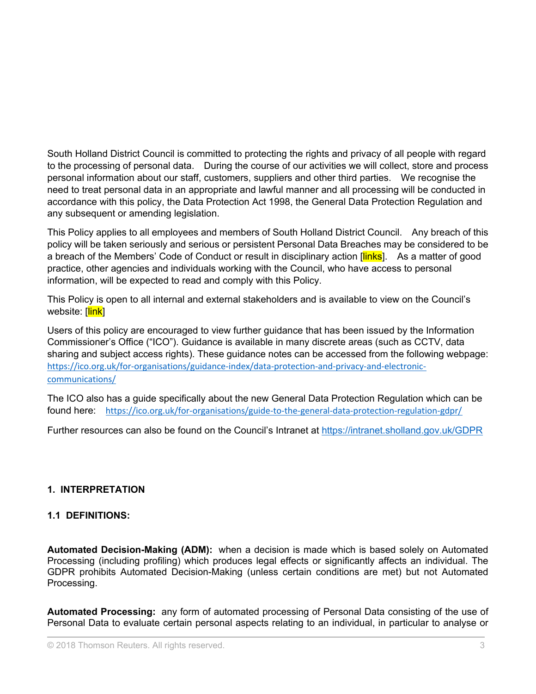South Holland District Council is committed to protecting the rights and privacy of all people with regard to the processing of personal data. During the course of our activities we will collect, store and process personal information about our staff, customers, suppliers and other third parties. We recognise the need to treat personal data in an appropriate and lawful manner and all processing will be conducted in accordance with this policy, the Data Protection Act 1998, the General Data Protection Regulation and any subsequent or amending legislation.

This Policy applies to all employees and members of South Holland District Council. Any breach of this policy will be taken seriously and serious or persistent Personal Data Breaches may be considered to be a breach of the Members' Code of Conduct or result in disciplinary action [links]. As a matter of good practice, other agencies and individuals working with the Council, who have access to personal information, will be expected to read and comply with this Policy.

This Policy is open to all internal and external stakeholders and is available to view on the Council's website: [link]

Users of this policy are encouraged to view further guidance that has been issued by the Information Commissioner's Office ("ICO"). Guidance is available in many discrete areas (such as CCTV, data sharing and subject access rights). These guidance notes can be accessed from the following webpage: [https://ico.org.uk/for-organisations/guidance-index/data-protection-and-privacy-and-electronic](https://ico.org.uk/for-organisations/guidance-index/data-protection-and-privacy-and-electronic-communications/)[communications/](https://ico.org.uk/for-organisations/guidance-index/data-protection-and-privacy-and-electronic-communications/)

The ICO also has a guide specifically about the new General Data Protection Regulation which can be found here: <https://ico.org.uk/for-organisations/guide-to-the-general-data-protection-regulation-gdpr/>

Further resources can also be found on the Council's Intranet at <https://intranet.sholland.gov.uk/GDPR>

# <span id="page-2-0"></span>**1. INTERPRETATION**

#### <span id="page-2-1"></span>**1.1 DEFINITIONS:**

**Automated Decision-Making (ADM):** when a decision is made which is based solely on Automated Processing (including profiling) which produces legal effects or significantly affects an individual. The GDPR prohibits Automated Decision-Making (unless certain conditions are met) but not Automated Processing.

**Automated Processing:** any form of automated processing of Personal Data consisting of the use of Personal Data to evaluate certain personal aspects relating to an individual, in particular to analyse or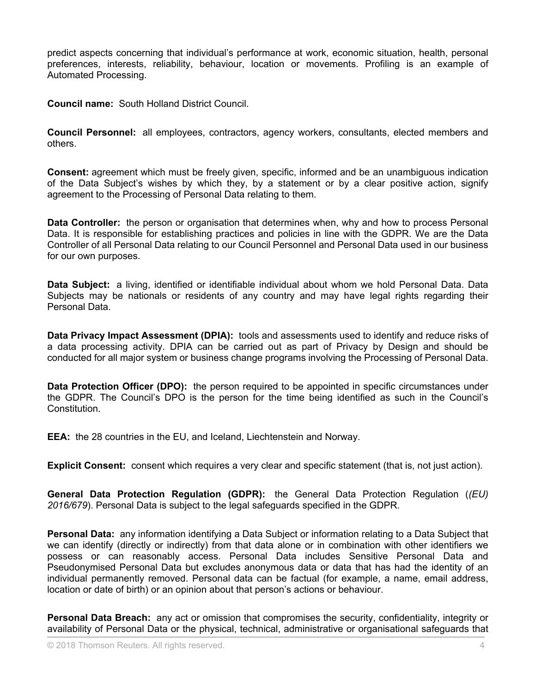predict aspects concerning that individual's performance at work, economic situation, health, personal preferences, interests, reliability, behaviour, location or movements. Profiling is an example of Automated Processing.

**Council name:** South Holland District Council.

**Council Personnel:** all employees, contractors, agency workers, consultants, elected members and others.

**Consent:** agreement which must be freely given, specific, informed and be an unambiguous indication of the Data Subject's wishes by which they, by a statement or by a clear positive action, signify agreement to the Processing of Personal Data relating to them.

**Data Controller:** the person or organisation that determines when, why and how to process Personal Data. It is responsible for establishing practices and policies in line with the GDPR. We are the Data Controller of all Personal Data relating to our Council Personnel and Personal Data used in our business for our own purposes.

**Data Subject:** a living, identified or identifiable individual about whom we hold Personal Data. Data Subjects may be nationals or residents of any country and may have legal rights regarding their Personal Data.

**Data Privacy Impact Assessment (DPIA):** tools and assessments used to identify and reduce risks of a data processing activity. DPIA can be carried out as part of Privacy by Design and should be conducted for all major system or business change programs involving the Processing of Personal Data.

**Data Protection Officer (DPO):** the person required to be appointed in specific circumstances under the GDPR. The Council's DPO is the person for the time being identified as such in the Council's Constitution.

**EEA:** the 28 countries in the EU, and Iceland, Liechtenstein and Norway.

**Explicit Consent:** consent which requires a very clear and specific statement (that is, not just action).

**General Data Protection Regulation (GDPR):** the General Data Protection Regulation (*(EU) 2016/679*). Personal Data is subject to the legal safeguards specified in the GDPR.

**Personal Data:** any information identifying a Data Subject or information relating to a Data Subject that we can identify (directly or indirectly) from that data alone or in combination with other identifiers we possess or can reasonably access. Personal Data includes Sensitive Personal Data and Pseudonymised Personal Data but excludes anonymous data or data that has had the identity of an individual permanently removed. Personal data can be factual (for example, a name, email address, location or date of birth) or an opinion about that person's actions or behaviour.

**Personal Data Breach:** any act or omission that compromises the security, confidentiality, integrity or availability of Personal Data or the physical, technical, administrative or organisational safeguards that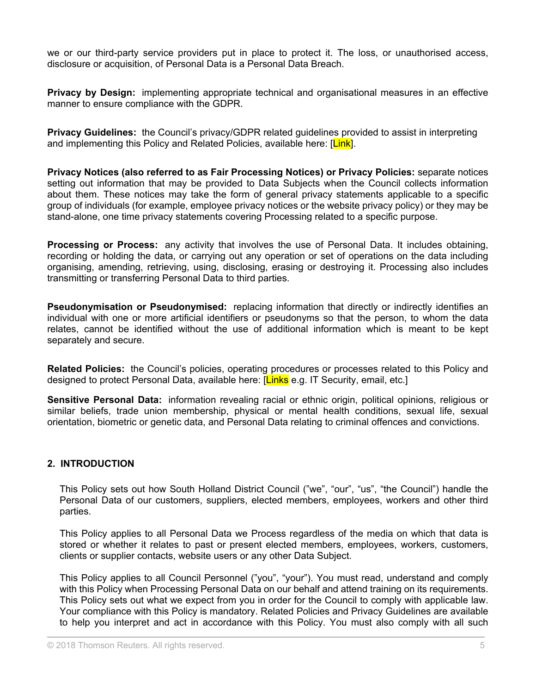we or our third-party service providers put in place to protect it. The loss, or unauthorised access, disclosure or acquisition, of Personal Data is a Personal Data Breach.

**Privacy by Design:** implementing appropriate technical and organisational measures in an effective manner to ensure compliance with the GDPR.

**Privacy Guidelines:** the Council's privacy/GDPR related guidelines provided to assist in interpreting and implementing this Policy and Related Policies, available here: [Link].

**Privacy Notices (also referred to as Fair Processing Notices) or Privacy Policies:** separate notices setting out information that may be provided to Data Subjects when the Council collects information about them. These notices may take the form of general privacy statements applicable to a specific group of individuals (for example, employee privacy notices or the website privacy policy) or they may be stand-alone, one time privacy statements covering Processing related to a specific purpose.

**Processing or Process:** any activity that involves the use of Personal Data. It includes obtaining, recording or holding the data, or carrying out any operation or set of operations on the data including organising, amending, retrieving, using, disclosing, erasing or destroying it. Processing also includes transmitting or transferring Personal Data to third parties.

**Pseudonymisation or Pseudonymised:** replacing information that directly or indirectly identifies an individual with one or more artificial identifiers or pseudonyms so that the person, to whom the data relates, cannot be identified without the use of additional information which is meant to be kept separately and secure.

**Related Policies:** the Council's policies, operating procedures or processes related to this Policy and designed to protect Personal Data, available here: [Links e.g. IT Security, email, etc.]

**Sensitive Personal Data:** information revealing racial or ethnic origin, political opinions, religious or similar beliefs, trade union membership, physical or mental health conditions, sexual life, sexual orientation, biometric or genetic data, and Personal Data relating to criminal offences and convictions.

#### <span id="page-4-0"></span>**2. INTRODUCTION**

This Policy sets out how South Holland District Council ("we", "our", "us", "the Council") handle the Personal Data of our customers, suppliers, elected members, employees, workers and other third parties.

This Policy applies to all Personal Data we Process regardless of the media on which that data is stored or whether it relates to past or present elected members, employees, workers, customers, clients or supplier contacts, website users or any other Data Subject.

This Policy applies to all Council Personnel ("you", "your"). You must read, understand and comply with this Policy when Processing Personal Data on our behalf and attend training on its requirements. This Policy sets out what we expect from you in order for the Council to comply with applicable law. Your compliance with this Policy is mandatory. Related Policies and Privacy Guidelines are available to help you interpret and act in accordance with this Policy. You must also comply with all such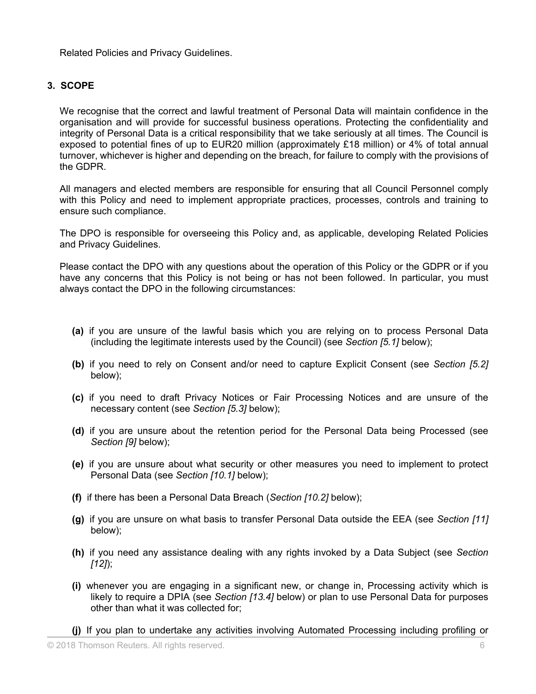Related Policies and Privacy Guidelines.

#### <span id="page-5-0"></span>**3. SCOPE**

We recognise that the correct and lawful treatment of Personal Data will maintain confidence in the organisation and will provide for successful business operations. Protecting the confidentiality and integrity of Personal Data is a critical responsibility that we take seriously at all times. The Council is exposed to potential fines of up to EUR20 million (approximately £18 million) or 4% of total annual turnover, whichever is higher and depending on the breach, for failure to comply with the provisions of the GDPR.

All managers and elected members are responsible for ensuring that all Council Personnel comply with this Policy and need to implement appropriate practices, processes, controls and training to ensure such compliance.

The DPO is responsible for overseeing this Policy and, as applicable, developing Related Policies and Privacy Guidelines.

Please contact the DPO with any questions about the operation of this Policy or the GDPR or if you have any concerns that this Policy is not being or has not been followed. In particular, you must always contact the DPO in the following circumstances:

- **(a)** if you are unsure of the lawful basis which you are relying on to process Personal Data (including the legitimate interests used by the Council) (see *Section [5.1]* below);
- **(b)** if you need to rely on Consent and/or need to capture Explicit Consent (see *Section [5.2]* below);
- **(c)** if you need to draft Privacy Notices or Fair Processing Notices and are unsure of the necessary content (see *Section [5.3]* below);
- **(d)** if you are unsure about the retention period for the Personal Data being Processed (see *Section [9]* below);
- **(e)** if you are unsure about what security or other measures you need to implement to protect Personal Data (see *Section [10.1]* below);
- **(f)** if there has been a Personal Data Breach (*Section [10.2]* below);
- **(g)** if you are unsure on what basis to transfer Personal Data outside the EEA (see *Section [11]* below);
- **(h)** if you need any assistance dealing with any rights invoked by a Data Subject (see *Section [12]*);
- **(i)** whenever you are engaging in a significant new, or change in, Processing activity which is likely to require a DPIA (see *Section [13.4]* below) or plan to use Personal Data for purposes other than what it was collected for;
- **(j)** If you plan to undertake any activities involving Automated Processing including profiling or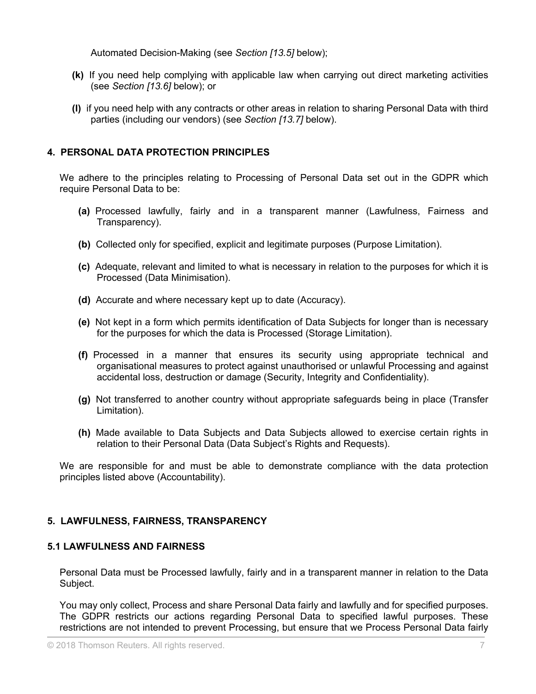Automated Decision-Making (see *Section [13.5]* below);

- **(k)** If you need help complying with applicable law when carrying out direct marketing activities (see *Section [13.6]* below); or
- **(l)** if you need help with any contracts or other areas in relation to sharing Personal Data with third parties (including our vendors) (see *Section [13.7]* below).

# <span id="page-6-0"></span>**4. PERSONAL DATA PROTECTION PRINCIPLES**

We adhere to the principles relating to Processing of Personal Data set out in the GDPR which require Personal Data to be:

- **(a)** Processed lawfully, fairly and in a transparent manner (Lawfulness, Fairness and Transparency).
- **(b)** Collected only for specified, explicit and legitimate purposes (Purpose Limitation).
- **(c)** Adequate, relevant and limited to what is necessary in relation to the purposes for which it is Processed (Data Minimisation).
- **(d)** Accurate and where necessary kept up to date (Accuracy).
- **(e)** Not kept in a form which permits identification of Data Subjects for longer than is necessary for the purposes for which the data is Processed (Storage Limitation).
- **(f)** Processed in a manner that ensures its security using appropriate technical and organisational measures to protect against unauthorised or unlawful Processing and against accidental loss, destruction or damage (Security, Integrity and Confidentiality).
- **(g)** Not transferred to another country without appropriate safeguards being in place (Transfer Limitation).
- **(h)** Made available to Data Subjects and Data Subjects allowed to exercise certain rights in relation to their Personal Data (Data Subject's Rights and Requests).

We are responsible for and must be able to demonstrate compliance with the data protection principles listed above (Accountability).

#### <span id="page-6-1"></span>**5. LAWFULNESS, FAIRNESS, TRANSPARENCY**

#### <span id="page-6-2"></span>**5.1 LAWFULNESS AND FAIRNESS**

Personal Data must be Processed lawfully, fairly and in a transparent manner in relation to the Data Subject.

You may only collect, Process and share Personal Data fairly and lawfully and for specified purposes. The GDPR restricts our actions regarding Personal Data to specified lawful purposes. These restrictions are not intended to prevent Processing, but ensure that we Process Personal Data fairly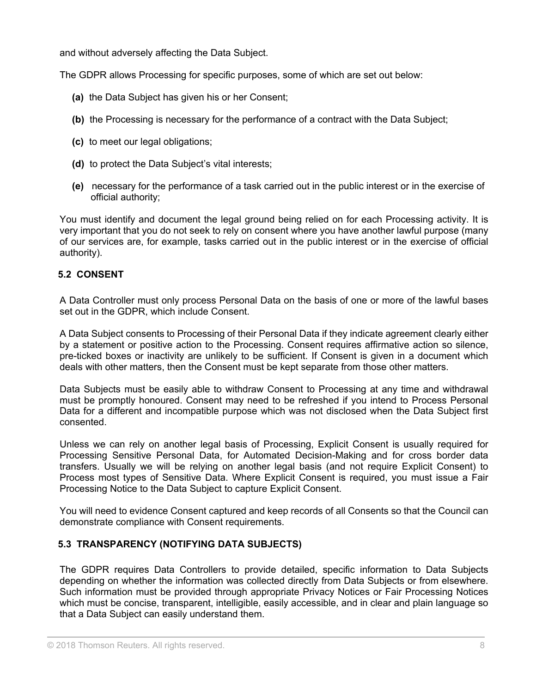and without adversely affecting the Data Subject.

The GDPR allows Processing for specific purposes, some of which are set out below:

- **(a)** the Data Subject has given his or her Consent;
- **(b)** the Processing is necessary for the performance of a contract with the Data Subject;
- **(c)** to meet our legal obligations;
- **(d)** to protect the Data Subject's vital interests;
- **(e)** necessary for the performance of a task carried out in the public interest or in the exercise of official authority;

You must identify and document the legal ground being relied on for each Processing activity. It is very important that you do not seek to rely on consent where you have another lawful purpose (many of our services are, for example, tasks carried out in the public interest or in the exercise of official authority).

# <span id="page-7-0"></span>**5.2 CONSENT**

A Data Controller must only process Personal Data on the basis of one or more of the lawful bases set out in the GDPR, which include Consent.

A Data Subject consents to Processing of their Personal Data if they indicate agreement clearly either by a statement or positive action to the Processing. Consent requires affirmative action so silence, pre-ticked boxes or inactivity are unlikely to be sufficient. If Consent is given in a document which deals with other matters, then the Consent must be kept separate from those other matters.

Data Subjects must be easily able to withdraw Consent to Processing at any time and withdrawal must be promptly honoured. Consent may need to be refreshed if you intend to Process Personal Data for a different and incompatible purpose which was not disclosed when the Data Subject first consented.

Unless we can rely on another legal basis of Processing, Explicit Consent is usually required for Processing Sensitive Personal Data, for Automated Decision-Making and for cross border data transfers. Usually we will be relying on another legal basis (and not require Explicit Consent) to Process most types of Sensitive Data. Where Explicit Consent is required, you must issue a Fair Processing Notice to the Data Subject to capture Explicit Consent.

You will need to evidence Consent captured and keep records of all Consents so that the Council can demonstrate compliance with Consent requirements.

# <span id="page-7-1"></span>**5.3 TRANSPARENCY (NOTIFYING DATA SUBJECTS)**

The GDPR requires Data Controllers to provide detailed, specific information to Data Subjects depending on whether the information was collected directly from Data Subjects or from elsewhere. Such information must be provided through appropriate Privacy Notices or Fair Processing Notices which must be concise, transparent, intelligible, easily accessible, and in clear and plain language so that a Data Subject can easily understand them.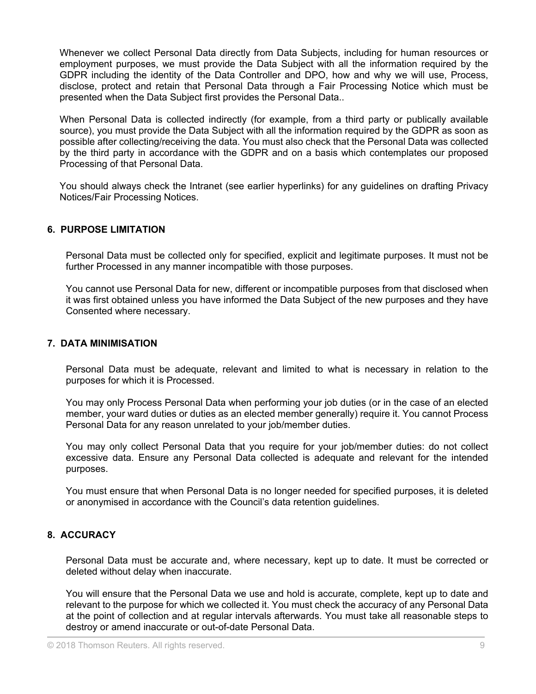Whenever we collect Personal Data directly from Data Subjects, including for human resources or employment purposes, we must provide the Data Subject with all the information required by the GDPR including the identity of the Data Controller and DPO, how and why we will use, Process, disclose, protect and retain that Personal Data through a Fair Processing Notice which must be presented when the Data Subject first provides the Personal Data..

When Personal Data is collected indirectly (for example, from a third party or publically available source), you must provide the Data Subject with all the information required by the GDPR as soon as possible after collecting/receiving the data. You must also check that the Personal Data was collected by the third party in accordance with the GDPR and on a basis which contemplates our proposed Processing of that Personal Data.

You should always check the Intranet (see earlier hyperlinks) for any guidelines on drafting Privacy Notices/Fair Processing Notices.

#### <span id="page-8-0"></span>**6. PURPOSE LIMITATION**

Personal Data must be collected only for specified, explicit and legitimate purposes. It must not be further Processed in any manner incompatible with those purposes.

You cannot use Personal Data for new, different or incompatible purposes from that disclosed when it was first obtained unless you have informed the Data Subject of the new purposes and they have Consented where necessary.

#### <span id="page-8-1"></span>**7. DATA MINIMISATION**

Personal Data must be adequate, relevant and limited to what is necessary in relation to the purposes for which it is Processed.

You may only Process Personal Data when performing your job duties (or in the case of an elected member, your ward duties or duties as an elected member generally) require it. You cannot Process Personal Data for any reason unrelated to your job/member duties.

You may only collect Personal Data that you require for your job/member duties: do not collect excessive data. Ensure any Personal Data collected is adequate and relevant for the intended purposes.

You must ensure that when Personal Data is no longer needed for specified purposes, it is deleted or anonymised in accordance with the Council's data retention guidelines.

#### <span id="page-8-2"></span>**8. ACCURACY**

Personal Data must be accurate and, where necessary, kept up to date. It must be corrected or deleted without delay when inaccurate.

You will ensure that the Personal Data we use and hold is accurate, complete, kept up to date and relevant to the purpose for which we collected it. You must check the accuracy of any Personal Data at the point of collection and at regular intervals afterwards. You must take all reasonable steps to destroy or amend inaccurate or out-of-date Personal Data.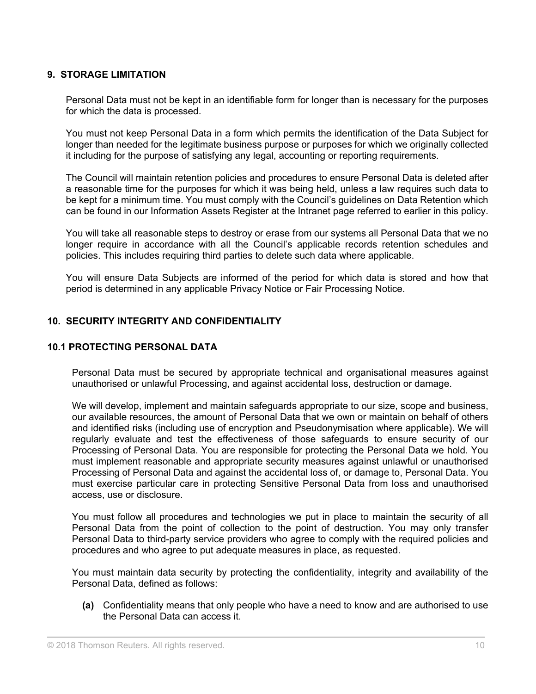#### <span id="page-9-0"></span>**9. STORAGE LIMITATION**

Personal Data must not be kept in an identifiable form for longer than is necessary for the purposes for which the data is processed.

You must not keep Personal Data in a form which permits the identification of the Data Subject for longer than needed for the legitimate business purpose or purposes for which we originally collected it including for the purpose of satisfying any legal, accounting or reporting requirements.

The Council will maintain retention policies and procedures to ensure Personal Data is deleted after a reasonable time for the purposes for which it was being held, unless a law requires such data to be kept for a minimum time. You must comply with the Council's guidelines on Data Retention which can be found in our Information Assets Register at the Intranet page referred to earlier in this policy.

You will take all reasonable steps to destroy or erase from our systems all Personal Data that we no longer require in accordance with all the Council's applicable records retention schedules and policies. This includes requiring third parties to delete such data where applicable.

You will ensure Data Subjects are informed of the period for which data is stored and how that period is determined in any applicable Privacy Notice or Fair Processing Notice.

#### <span id="page-9-1"></span>**10. SECURITY INTEGRITY AND CONFIDENTIALITY**

#### <span id="page-9-2"></span>**10.1 PROTECTING PERSONAL DATA**

Personal Data must be secured by appropriate technical and organisational measures against unauthorised or unlawful Processing, and against accidental loss, destruction or damage.

We will develop, implement and maintain safeguards appropriate to our size, scope and business, our available resources, the amount of Personal Data that we own or maintain on behalf of others and identified risks (including use of encryption and Pseudonymisation where applicable). We will regularly evaluate and test the effectiveness of those safeguards to ensure security of our Processing of Personal Data. You are responsible for protecting the Personal Data we hold. You must implement reasonable and appropriate security measures against unlawful or unauthorised Processing of Personal Data and against the accidental loss of, or damage to, Personal Data. You must exercise particular care in protecting Sensitive Personal Data from loss and unauthorised access, use or disclosure.

You must follow all procedures and technologies we put in place to maintain the security of all Personal Data from the point of collection to the point of destruction. You may only transfer Personal Data to third-party service providers who agree to comply with the required policies and procedures and who agree to put adequate measures in place, as requested.

You must maintain data security by protecting the confidentiality, integrity and availability of the Personal Data, defined as follows:

**(a)** Confidentiality means that only people who have a need to know and are authorised to use the Personal Data can access it.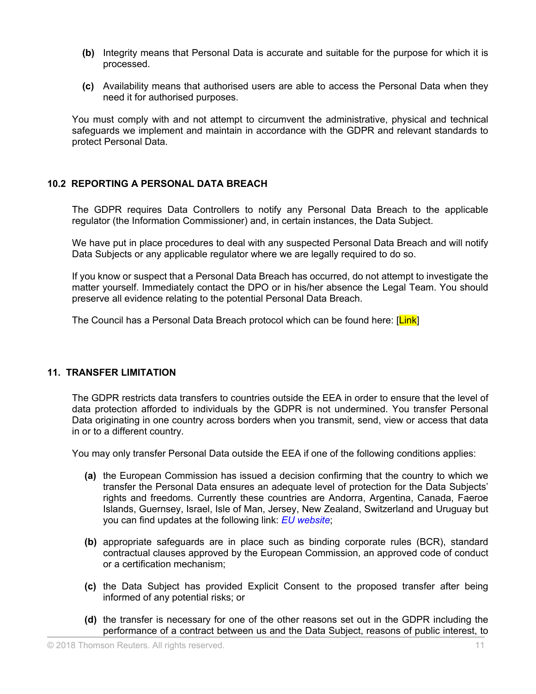- **(b)** Integrity means that Personal Data is accurate and suitable for the purpose for which it is processed.
- **(c)** Availability means that authorised users are able to access the Personal Data when they need it for authorised purposes.

You must comply with and not attempt to circumvent the administrative, physical and technical safeguards we implement and maintain in accordance with the GDPR and relevant standards to protect Personal Data.

#### <span id="page-10-0"></span>**10.2 REPORTING A PERSONAL DATA BREACH**

The GDPR requires Data Controllers to notify any Personal Data Breach to the applicable regulator (the Information Commissioner) and, in certain instances, the Data Subject.

We have put in place procedures to deal with any suspected Personal Data Breach and will notify Data Subjects or any applicable regulator where we are legally required to do so.

If you know or suspect that a Personal Data Breach has occurred, do not attempt to investigate the matter yourself. Immediately contact the DPO or in his/her absence the Legal Team. You should preserve all evidence relating to the potential Personal Data Breach.

The Council has a Personal Data Breach protocol which can be found here: [Link]

#### <span id="page-10-1"></span>**11. TRANSFER LIMITATION**

The GDPR restricts data transfers to countries outside the EEA in order to ensure that the level of data protection afforded to individuals by the GDPR is not undermined. You transfer Personal Data originating in one country across borders when you transmit, send, view or access that data in or to a different country.

You may only transfer Personal Data outside the EEA if one of the following conditions applies:

- **(a)** the European Commission has issued a decision confirming that the country to which we transfer the Personal Data ensures an adequate level of protection for the Data Subjects' rights and freedoms. Currently these countries are Andorra, Argentina, Canada, Faeroe Islands, Guernsey, Israel, Isle of Man, Jersey, New Zealand, Switzerland and Uruguay but you can find updates at the following link: *EU [website](http://ec.europa.eu/justice/data-protection/international-transfers/adequacy/index_en.htm)*;
- **(b)** appropriate safeguards are in place such as binding corporate rules (BCR), standard contractual clauses approved by the European Commission, an approved code of conduct or a certification mechanism;
- **(c)** the Data Subject has provided Explicit Consent to the proposed transfer after being informed of any potential risks; or
- **(d)** the transfer is necessary for one of the other reasons set out in the GDPR including the performance of a contract between us and the Data Subject, reasons of public interest, to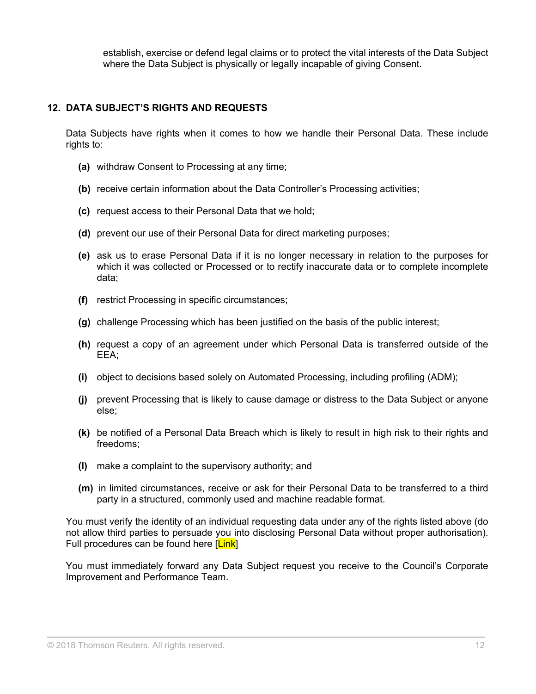establish, exercise or defend legal claims or to protect the vital interests of the Data Subject where the Data Subject is physically or legally incapable of giving Consent.

#### <span id="page-11-0"></span>**12. DATA SUBJECT'S RIGHTS AND REQUESTS**

Data Subjects have rights when it comes to how we handle their Personal Data. These include rights to:

- **(a)** withdraw Consent to Processing at any time;
- **(b)** receive certain information about the Data Controller's Processing activities;
- **(c)** request access to their Personal Data that we hold;
- **(d)** prevent our use of their Personal Data for direct marketing purposes;
- **(e)** ask us to erase Personal Data if it is no longer necessary in relation to the purposes for which it was collected or Processed or to rectify inaccurate data or to complete incomplete data;
- **(f)** restrict Processing in specific circumstances;
- **(g)** challenge Processing which has been justified on the basis of the public interest;
- **(h)** request a copy of an agreement under which Personal Data is transferred outside of the EEA;
- **(i)** object to decisions based solely on Automated Processing, including profiling (ADM);
- **(j)** prevent Processing that is likely to cause damage or distress to the Data Subject or anyone else;
- **(k)** be notified of a Personal Data Breach which is likely to result in high risk to their rights and freedoms;
- **(l)** make a complaint to the supervisory authority; and
- **(m)** in limited circumstances, receive or ask for their Personal Data to be transferred to a third party in a structured, commonly used and machine readable format.

You must verify the identity of an individual requesting data under any of the rights listed above (do not allow third parties to persuade you into disclosing Personal Data without proper authorisation). Full procedures can be found here [Link]

You must immediately forward any Data Subject request you receive to the Council's Corporate Improvement and Performance Team.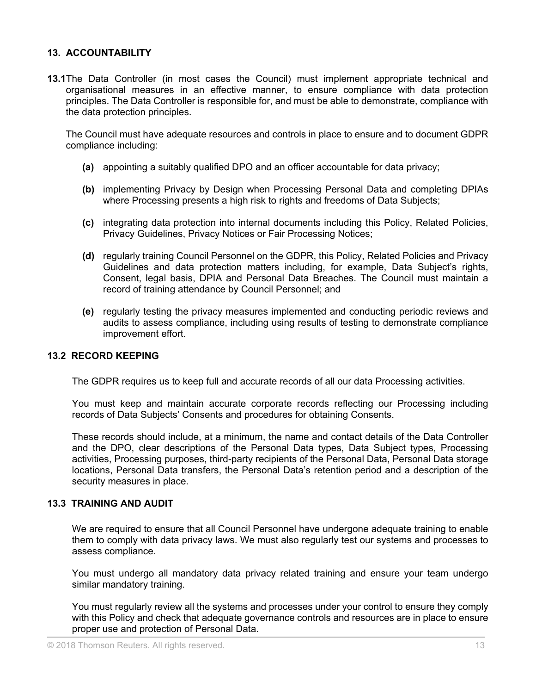#### <span id="page-12-0"></span>**13. ACCOUNTABILITY**

**13.1**The Data Controller (in most cases the Council) must implement appropriate technical and organisational measures in an effective manner, to ensure compliance with data protection principles. The Data Controller is responsible for, and must be able to demonstrate, compliance with the data protection principles.

The Council must have adequate resources and controls in place to ensure and to document GDPR compliance including:

- **(a)** appointing a suitably qualified DPO and an officer accountable for data privacy;
- **(b)** implementing Privacy by Design when Processing Personal Data and completing DPIAs where Processing presents a high risk to rights and freedoms of Data Subjects;
- **(c)** integrating data protection into internal documents including this Policy, Related Policies, Privacy Guidelines, Privacy Notices or Fair Processing Notices;
- **(d)** regularly training Council Personnel on the GDPR, this Policy, Related Policies and Privacy Guidelines and data protection matters including, for example, Data Subject's rights, Consent, legal basis, DPIA and Personal Data Breaches. The Council must maintain a record of training attendance by Council Personnel; and
- **(e)** regularly testing the privacy measures implemented and conducting periodic reviews and audits to assess compliance, including using results of testing to demonstrate compliance improvement effort.

#### <span id="page-12-1"></span>**13.2 RECORD KEEPING**

The GDPR requires us to keep full and accurate records of all our data Processing activities.

You must keep and maintain accurate corporate records reflecting our Processing including records of Data Subjects' Consents and procedures for obtaining Consents.

These records should include, at a minimum, the name and contact details of the Data Controller and the DPO, clear descriptions of the Personal Data types, Data Subject types, Processing activities, Processing purposes, third-party recipients of the Personal Data, Personal Data storage locations, Personal Data transfers, the Personal Data's retention period and a description of the security measures in place.

#### <span id="page-12-2"></span>**13.3 TRAINING AND AUDIT**

We are required to ensure that all Council Personnel have undergone adequate training to enable them to comply with data privacy laws. We must also regularly test our systems and processes to assess compliance.

You must undergo all mandatory data privacy related training and ensure your team undergo similar mandatory training.

You must regularly review all the systems and processes under your control to ensure they comply with this Policy and check that adequate governance controls and resources are in place to ensure proper use and protection of Personal Data.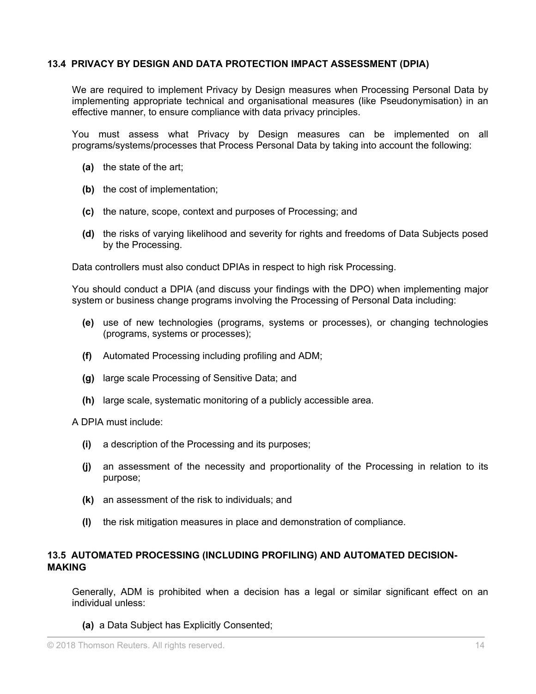#### <span id="page-13-0"></span>**13.4 PRIVACY BY DESIGN AND DATA PROTECTION IMPACT ASSESSMENT (DPIA)**

We are required to implement Privacy by Design measures when Processing Personal Data by implementing appropriate technical and organisational measures (like Pseudonymisation) in an effective manner, to ensure compliance with data privacy principles.

You must assess what Privacy by Design measures can be implemented on all programs/systems/processes that Process Personal Data by taking into account the following:

- **(a)** the state of the art;
- **(b)** the cost of implementation;
- **(c)** the nature, scope, context and purposes of Processing; and
- **(d)** the risks of varying likelihood and severity for rights and freedoms of Data Subjects posed by the Processing.

Data controllers must also conduct DPIAs in respect to high risk Processing.

You should conduct a DPIA (and discuss your findings with the DPO) when implementing major system or business change programs involving the Processing of Personal Data including:

- **(e)** use of new technologies (programs, systems or processes), or changing technologies (programs, systems or processes);
- **(f)** Automated Processing including profiling and ADM;
- **(g)** large scale Processing of Sensitive Data; and
- **(h)** large scale, systematic monitoring of a publicly accessible area.

A DPIA must include:

- **(i)** a description of the Processing and its purposes;
- **(j)** an assessment of the necessity and proportionality of the Processing in relation to its purpose;
- **(k)** an assessment of the risk to individuals; and
- **(l)** the risk mitigation measures in place and demonstration of compliance.

#### <span id="page-13-1"></span>**13.5 AUTOMATED PROCESSING (INCLUDING PROFILING) AND AUTOMATED DECISION-MAKING**

Generally, ADM is prohibited when a decision has a legal or similar significant effect on an individual unless:

**(a)** a Data Subject has Explicitly Consented;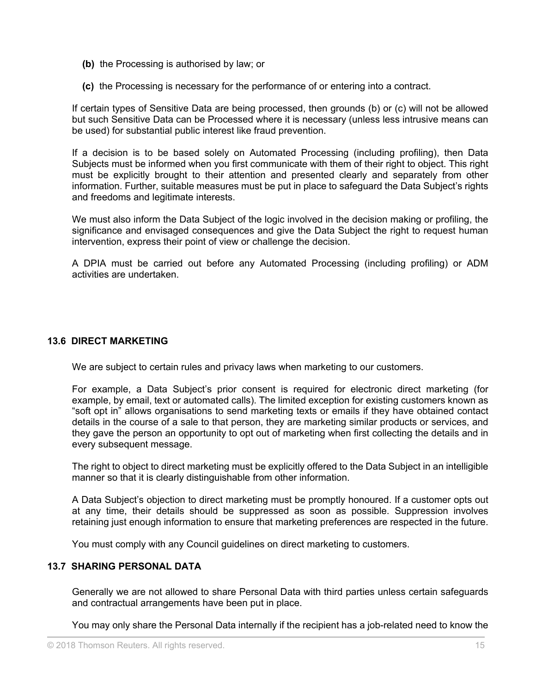- **(b)** the Processing is authorised by law; or
- **(c)** the Processing is necessary for the performance of or entering into a contract.

If certain types of Sensitive Data are being processed, then grounds (b) or (c) will not be allowed but such Sensitive Data can be Processed where it is necessary (unless less intrusive means can be used) for substantial public interest like fraud prevention.

If a decision is to be based solely on Automated Processing (including profiling), then Data Subjects must be informed when you first communicate with them of their right to object. This right must be explicitly brought to their attention and presented clearly and separately from other information. Further, suitable measures must be put in place to safeguard the Data Subject's rights and freedoms and legitimate interests.

We must also inform the Data Subject of the logic involved in the decision making or profiling, the significance and envisaged consequences and give the Data Subject the right to request human intervention, express their point of view or challenge the decision.

A DPIA must be carried out before any Automated Processing (including profiling) or ADM activities are undertaken.

#### <span id="page-14-0"></span>**13.6 DIRECT MARKETING**

We are subject to certain rules and privacy laws when marketing to our customers.

For example, a Data Subject's prior consent is required for electronic direct marketing (for example, by email, text or automated calls). The limited exception for existing customers known as "soft opt in" allows organisations to send marketing texts or emails if they have obtained contact details in the course of a sale to that person, they are marketing similar products or services, and they gave the person an opportunity to opt out of marketing when first collecting the details and in every subsequent message.

The right to object to direct marketing must be explicitly offered to the Data Subject in an intelligible manner so that it is clearly distinguishable from other information.

A Data Subject's objection to direct marketing must be promptly honoured. If a customer opts out at any time, their details should be suppressed as soon as possible. Suppression involves retaining just enough information to ensure that marketing preferences are respected in the future.

You must comply with any Council guidelines on direct marketing to customers.

#### <span id="page-14-1"></span>**13.7 SHARING PERSONAL DATA**

Generally we are not allowed to share Personal Data with third parties unless certain safeguards and contractual arrangements have been put in place.

You may only share the Personal Data internally if the recipient has a job-related need to know the